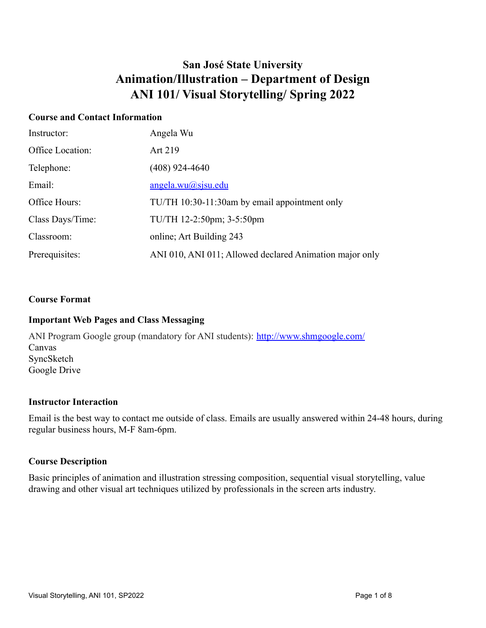# **San José State University Animation/Illustration – Department of Design ANI 101/ Visual Storytelling/ Spring 2022**

# **Course and Contact Information**

| Instructor:      | Angela Wu                                               |
|------------------|---------------------------------------------------------|
| Office Location: | Art 219                                                 |
| Telephone:       | (408) 924-4640                                          |
| Email:           | <u>angela.wu@sjsu.edu</u>                               |
| Office Hours:    | TU/TH 10:30-11:30am by email appointment only           |
| Class Days/Time: | TU/TH 12-2:50pm; 3-5:50pm                               |
| Classroom:       | online; Art Building 243                                |
| Prerequisites:   | ANI 010, ANI 011; Allowed declared Animation major only |

#### **Course Format**

# **Important Web Pages and Class Messaging**

ANI Program Google group (mandatory for ANI students): <http://www.shmgoogle.com/> Canvas SyncSketch Google Drive

#### **Instructor Interaction**

Email is the best way to contact me outside of class. Emails are usually answered within 24-48 hours, during regular business hours, M-F 8am-6pm.

#### **Course Description**

Basic principles of animation and illustration stressing composition, sequential visual storytelling, value drawing and other visual art techniques utilized by professionals in the screen arts industry.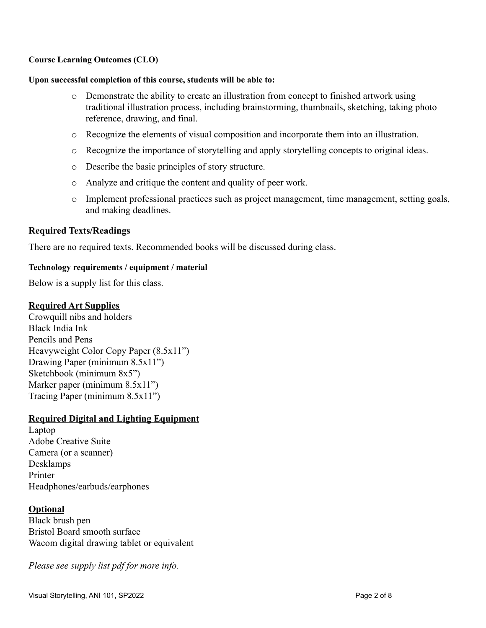#### **Course Learning Outcomes (CLO)**

#### **Upon successful completion of this course, students will be able to:**

- o Demonstrate the ability to create an illustration from concept to finished artwork using traditional illustration process, including brainstorming, thumbnails, sketching, taking photo reference, drawing, and final.
- o Recognize the elements of visual composition and incorporate them into an illustration.
- o Recognize the importance of storytelling and apply storytelling concepts to original ideas.
- o Describe the basic principles of story structure.
- o Analyze and critique the content and quality of peer work.
- o Implement professional practices such as project management, time management, setting goals, and making deadlines.

#### **Required Texts/Readings**

There are no required texts. Recommended books will be discussed during class.

#### **Technology requirements / equipment / material**

Below is a supply list for this class.

#### **Required Art Supplies**

Crowquill nibs and holders Black India Ink Pencils and Pens Heavyweight Color Copy Paper (8.5x11") Drawing Paper (minimum 8.5x11") Sketchbook (minimum 8x5") Marker paper (minimum 8.5x11") Tracing Paper (minimum 8.5x11")

#### **Required Digital and Lighting Equipment**

Laptop Adobe Creative Suite Camera (or a scanner) Desklamps Printer Headphones/earbuds/earphones

#### **Optional**

Black brush pen Bristol Board smooth surface Wacom digital drawing tablet or equivalent

*Please see supply list pdf for more info.*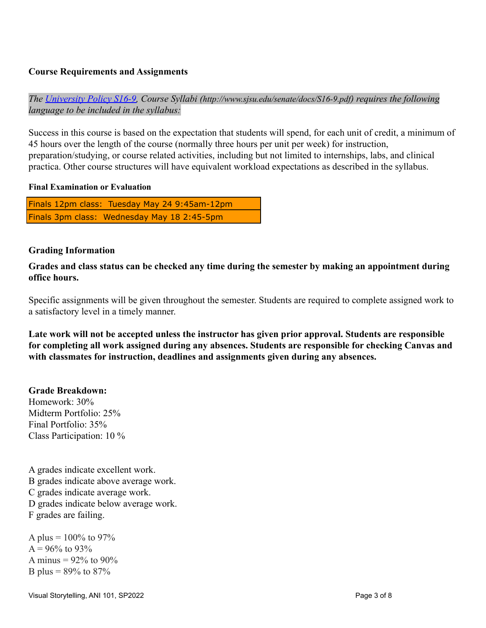# **Course Requirements and Assignments**

*The [University Policy S16-9,](http://www.sjsu.edu/senate/docs/S16-9.pdf) Course Syllabi (http://www.sjsu.edu/senate/docs/S16-9.pdf) requires the following language to be included in the syllabus:*

Success in this course is based on the expectation that students will spend, for each unit of credit, a minimum of 45 hours over the length of the course (normally three hours per unit per week) for instruction, preparation/studying, or course related activities, including but not limited to internships, labs, and clinical practica. Other course structures will have equivalent workload expectations as described in the syllabus.

#### **Final Examination or Evaluation**

Finals 12pm class: Tuesday May 24 9:45am-12pm Finals 3pm class: Wednesday May 18 2:45-5pm

# **Grading Information**

**Grades and class status can be checked any time during the semester by making an appointment during office hours.**

Specific assignments will be given throughout the semester. Students are required to complete assigned work to a satisfactory level in a timely manner.

**Late work will not be accepted unless the instructor has given prior approval. Students are responsible for completing all work assigned during any absences. Students are responsible for checking Canvas and with classmates for instruction, deadlines and assignments given during any absences.**

# **Grade Breakdown:**

Homework: 30% Midterm Portfolio: 25% Final Portfolio: 35% Class Participation: 10 %

A grades indicate excellent work. B grades indicate above average work. C grades indicate average work. D grades indicate below average work. F grades are failing.

A plus =  $100\%$  to 97%  $A = 96\%$  to 93\% A minus =  $92\%$  to  $90\%$ B plus =  $89\%$  to  $87\%$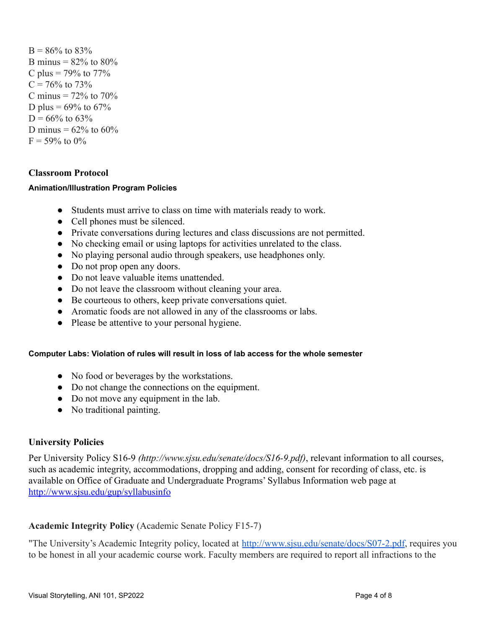$B = 86\%$  to  $83\%$ B minus =  $82\%$  to  $80\%$ C plus =  $79\%$  to  $77\%$  $C = 76\%$  to 73% C minus  $= 72\%$  to 70% D plus =  $69\%$  to  $67\%$  $D = 66\%$  to 63\% D minus =  $62\%$  to  $60\%$  $F = 59\%$  to  $0\%$ 

# **Classroom Protocol**

#### **Animation/Illustration Program Policies**

- Students must arrive to class on time with materials ready to work.
- Cell phones must be silenced.
- Private conversations during lectures and class discussions are not permitted.
- No checking email or using laptops for activities unrelated to the class.
- No playing personal audio through speakers, use headphones only.
- Do not prop open any doors.
- Do not leave valuable items unattended.
- Do not leave the classroom without cleaning your area.
- Be courteous to others, keep private conversations quiet.
- Aromatic foods are not allowed in any of the classrooms or labs.
- Please be attentive to your personal hygiene.

#### **Computer Labs: Violation of rules will result in loss of lab access for the whole semester**

- No food or beverages by the workstations.
- Do not change the connections on the equipment.
- Do not move any equipment in the lab.
- No traditional painting.

#### **University Policies**

Per University Policy S16-9 *(http://www.sjsu.edu/senate/docs/S16-9.pdf)*, relevant information to all courses, such as academic integrity, accommodations, dropping and adding, consent for recording of class, etc. is available on Office of Graduate and Undergraduate Programs' Syllabus Information web page at <http://www.sjsu.edu/gup/syllabusinfo>

#### **Academic Integrity Policy** (Academic Senate Policy F15-7)

"The University's Academic Integrity policy, located at <http://www.sjsu.edu/senate/docs/S07-2.pdf>, requires you to be honest in all your academic course work. Faculty members are required to report all infractions to the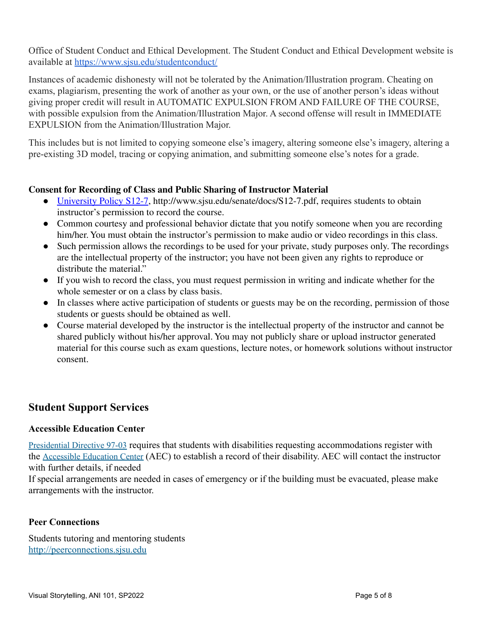Office of Student Conduct and Ethical Development. The Student Conduct and Ethical Development website is available at <https://www.sjsu.edu/studentconduct/>

Instances of academic dishonesty will not be tolerated by the Animation/Illustration program. Cheating on exams, plagiarism, presenting the work of another as your own, or the use of another person's ideas without giving proper credit will result in AUTOMATIC EXPULSION FROM AND FAILURE OF THE COURSE, with possible expulsion from the Animation/Illustration Major. A second offense will result in IMMEDIATE EXPULSION from the Animation/Illustration Major.

This includes but is not limited to copying someone else's imagery, altering someone else's imagery, altering a pre-existing 3D model, tracing or copying animation, and submitting someone else's notes for a grade.

# **Consent for Recording of Class and Public Sharing of Instructor Material**

- [University](http://www.sjsu.edu/senate/docs/S12-7.pdf) Policy S12-7, http://www.sjsu.edu/senate/docs/S12-7.pdf, requires students to obtain instructor's permission to record the course.
- Common courtesy and professional behavior dictate that you notify someone when you are recording him/her. You must obtain the instructor's permission to make audio or video recordings in this class.
- Such permission allows the recordings to be used for your private, study purposes only. The recordings are the intellectual property of the instructor; you have not been given any rights to reproduce or distribute the material."
- If you wish to record the class, you must request permission in writing and indicate whether for the whole semester or on a class by class basis.
- In classes where active participation of students or guests may be on the recording, permission of those students or guests should be obtained as well.
- Course material developed by the instructor is the intellectual property of the instructor and cannot be shared publicly without his/her approval. You may not publicly share or upload instructor generated material for this course such as exam questions, lecture notes, or homework solutions without instructor consent.

# **Student Support Services**

# **Accessible Education Center**

[Presidential](https://www.sjsu.edu/president/docs/PD_1997-03.pdf) Directive 97-03 requires that students with disabilities requesting accommodations register with the [Accessible](https://www.sjsu.edu/aec) Education Center (AEC) to establish a record of their disability. AEC will contact the instructor with further details, if needed

If special arrangements are needed in cases of emergency or if the building must be evacuated, please make arrangements with the instructor.

# **Peer Connections**

Students tutoring and mentoring students [http://peerconnections.sjsu.edu](http://peerconnections.sjsu.edu/)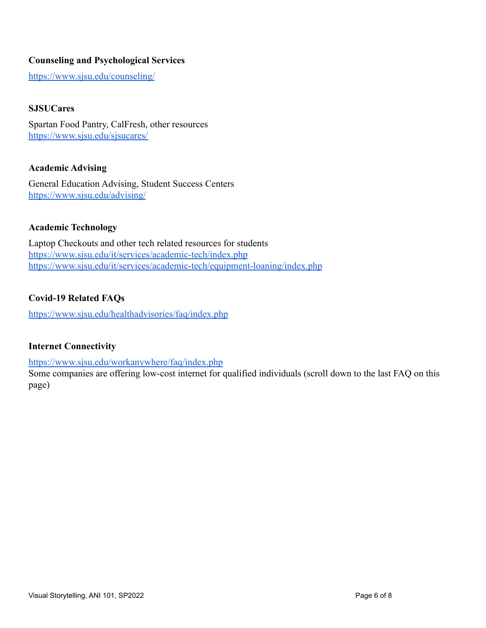# **Counseling and Psychological Services**

<https://www.sjsu.edu/counseling/>

# **SJSUCares**

Spartan Food Pantry, CalFresh, other resources <https://www.sjsu.edu/sjsucares/>

#### **Academic Advising**

General Education Advising, Student Success Centers <https://www.sjsu.edu/advising/>

# **Academic Technology**

Laptop Checkouts and other tech related resources for students <https://www.sjsu.edu/it/services/academic-tech/index.php> <https://www.sjsu.edu/it/services/academic-tech/equipment-loaning/index.php>

#### **Covid-19 Related FAQs**

<https://www.sjsu.edu/healthadvisories/faq/index.php>

# **Internet Connectivity**

<https://www.sjsu.edu/workanywhere/faq/index.php>

Some companies are offering low-cost internet for qualified individuals (scroll down to the last FAQ on this page)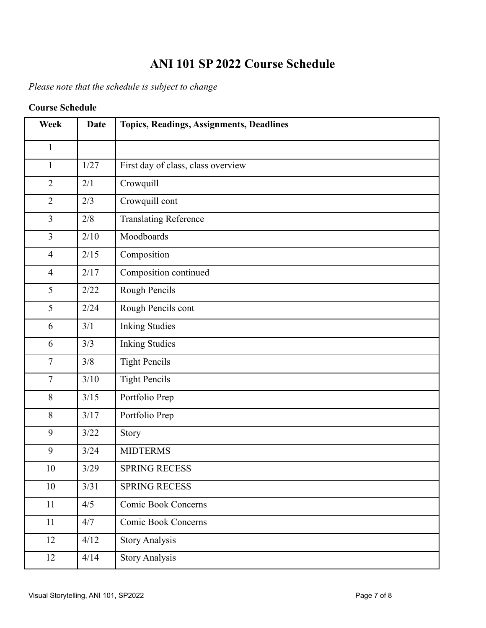# **ANI 101 SP 2022 Course Schedule**

*Please note that the schedule is subject to change*

# **Course Schedule**

| <b>Week</b>    | <b>Date</b> | Topics, Readings, Assignments, Deadlines |
|----------------|-------------|------------------------------------------|
| $\mathbf{1}$   |             |                                          |
| $\mathbf{1}$   | 1/27        | First day of class, class overview       |
| $\overline{2}$ | 2/1         | Crowquill                                |
| $\overline{2}$ | 2/3         | Crowquill cont                           |
| $\overline{3}$ | 2/8         | <b>Translating Reference</b>             |
| $\overline{3}$ | 2/10        | Moodboards                               |
| $\overline{4}$ | 2/15        | Composition                              |
| $\overline{4}$ | 2/17        | Composition continued                    |
| 5              | 2/22        | Rough Pencils                            |
| 5              | 2/24        | Rough Pencils cont                       |
| 6              | 3/1         | <b>Inking Studies</b>                    |
| 6              | 3/3         | <b>Inking Studies</b>                    |
| $\overline{7}$ | 3/8         | <b>Tight Pencils</b>                     |
| $\overline{7}$ | 3/10        | <b>Tight Pencils</b>                     |
| 8              | $3/15$      | Portfolio Prep                           |
| 8              | 3/17        | Portfolio Prep                           |
| 9              | 3/22        | Story                                    |
| 9              | 3/24        | <b>MIDTERMS</b>                          |
| 10             | 3/29        | <b>SPRING RECESS</b>                     |
| 10             | 3/31        | <b>SPRING RECESS</b>                     |
| 11             | 4/5         | Comic Book Concerns                      |
| 11             | 4/7         | Comic Book Concerns                      |
| 12             | 4/12        | <b>Story Analysis</b>                    |
| 12             | 4/14        | <b>Story Analysis</b>                    |